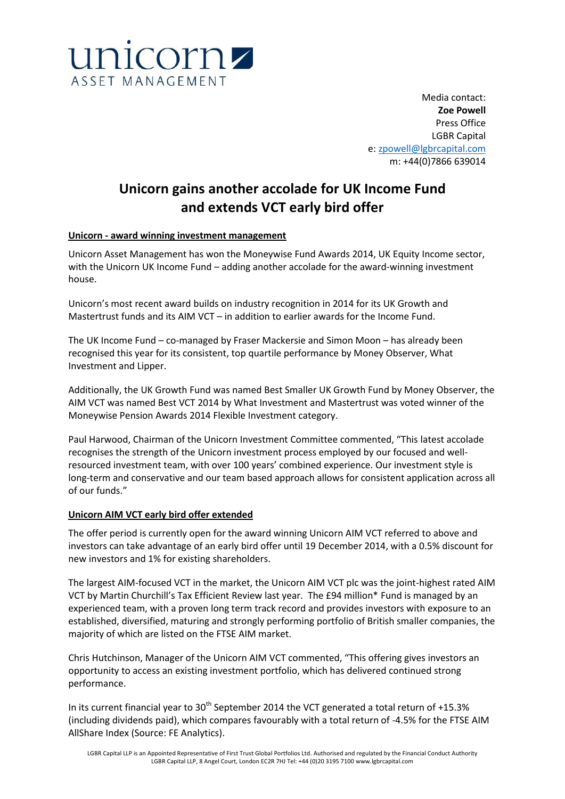

Media contact: **Zoe Powell** Press Office LGBR Capital e: [zpowell@lgbrcapital.com](mailto:zpowell@lgbrcapital.com) m: +44(0)7866 639014

# **Unicorn gains another accolade for UK Income Fund and extends VCT early bird offer**

# **Unicorn - award winning investment management**

Unicorn Asset Management has won the Moneywise Fund Awards 2014, UK Equity Income sector, with the Unicorn UK Income Fund – adding another accolade for the award-winning investment house.

Unicorn's most recent award builds on industry recognition in 2014 for its UK Growth and Mastertrust funds and its AIM VCT – in addition to earlier awards for the Income Fund.

The UK Income Fund – co-managed by Fraser Mackersie and Simon Moon – has already been recognised this year for its consistent, top quartile performance by Money Observer, What Investment and Lipper.

Additionally, the UK Growth Fund was named Best Smaller UK Growth Fund by Money Observer, the AIM VCT was named Best VCT 2014 by What Investment and Mastertrust was voted winner of the Moneywise Pension Awards 2014 Flexible Investment category.

Paul Harwood, Chairman of the Unicorn Investment Committee commented, "This latest accolade recognises the strength of the Unicorn investment process employed by our focused and wellresourced investment team, with over 100 years' combined experience. Our investment style is long-term and conservative and our team based approach allows for consistent application across all of our funds."

# **Unicorn AIM VCT early bird offer extended**

The offer period is currently open for the award winning Unicorn AIM VCT referred to above and investors can take advantage of an early bird offer until 19 December 2014, with a 0.5% discount for new investors and 1% for existing shareholders.

The largest AIM-focused VCT in the market, the Unicorn AIM VCT plc was the joint-highest rated AIM VCT by Martin Churchill's Tax Efficient Review last year. The £94 million\* Fund is managed by an experienced team, with a proven long term track record and provides investors with exposure to an established, diversified, maturing and strongly performing portfolio of British smaller companies, the majority of which are listed on the FTSE AIM market.

Chris Hutchinson, Manager of the Unicorn AIM VCT commented, "This offering gives investors an opportunity to access an existing investment portfolio, which has delivered continued strong performance.

In its current financial year to  $30<sup>th</sup>$  September 2014 the VCT generated a total return of +15.3% (including dividends paid), which compares favourably with a total return of -4.5% for the FTSE AIM AllShare Index (Source: FE Analytics).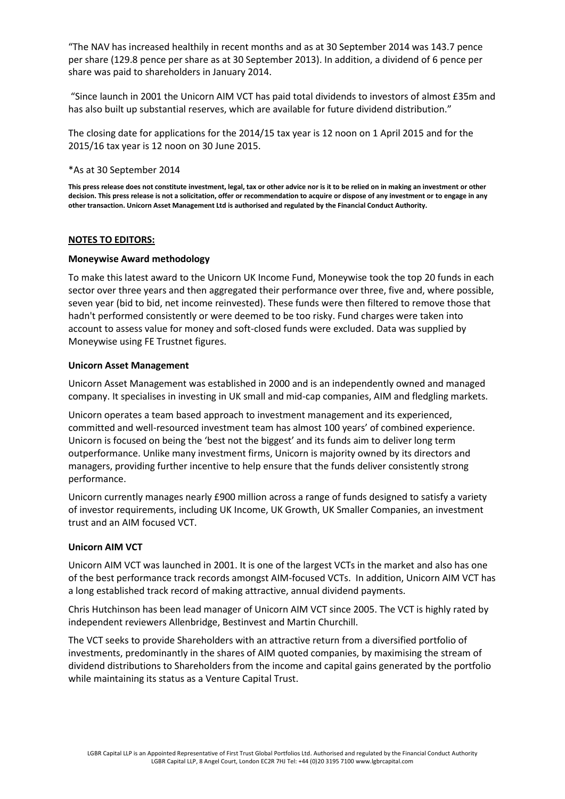"The NAV has increased healthily in recent months and as at 30 September 2014 was 143.7 pence per share (129.8 pence per share as at 30 September 2013). In addition, a dividend of 6 pence per share was paid to shareholders in January 2014.

"Since launch in 2001 the Unicorn AIM VCT has paid total dividends to investors of almost £35m and has also built up substantial reserves, which are available for future dividend distribution."

The closing date for applications for the 2014/15 tax year is 12 noon on 1 April 2015 and for the 2015/16 tax year is 12 noon on 30 June 2015.

#### \*As at 30 September 2014

**This press release does not constitute investment, legal, tax or other advice nor is it to be relied on in making an investment or other decision. This press release is not a solicitation, offer or recommendation to acquire or dispose of any investment or to engage in any other transaction. Unicorn Asset Management Ltd is authorised and regulated by the Financial Conduct Authority.**

## **NOTES TO EDITORS:**

## **Moneywise Award methodology**

To make this latest award to the Unicorn UK Income Fund, Moneywise took the top 20 funds in each sector over three years and then aggregated their performance over three, five and, where possible, seven year (bid to bid, net income reinvested). These funds were then filtered to remove those that hadn't performed consistently or were deemed to be too risky. Fund charges were taken into account to assess value for money and soft-closed funds were excluded. Data was supplied by Moneywise using FE Trustnet figures.

## **Unicorn Asset Management**

Unicorn Asset Management was established in 2000 and is an independently owned and managed company. It specialises in investing in UK small and mid-cap companies, AIM and fledgling markets.

Unicorn operates a team based approach to investment management and its experienced, committed and well-resourced investment team has almost 100 years' of combined experience. Unicorn is focused on being the 'best not the biggest' and its funds aim to deliver long term outperformance. Unlike many investment firms, Unicorn is majority owned by its directors and managers, providing further incentive to help ensure that the funds deliver consistently strong performance.

Unicorn currently manages nearly £900 million across a range of funds designed to satisfy a variety of investor requirements, including UK Income, UK Growth, UK Smaller Companies, an investment trust and an AIM focused VCT.

# **Unicorn AIM VCT**

Unicorn AIM VCT was launched in 2001. It is one of the largest VCTs in the market and also has one of the best performance track records amongst AIM-focused VCTs. In addition, Unicorn AIM VCT has a long established track record of making attractive, annual dividend payments.

Chris Hutchinson has been lead manager of Unicorn AIM VCT since 2005. The VCT is highly rated by independent reviewers Allenbridge, Bestinvest and Martin Churchill.

The VCT seeks to provide Shareholders with an attractive return from a diversified portfolio of investments, predominantly in the shares of AIM quoted companies, by maximising the stream of dividend distributions to Shareholders from the income and capital gains generated by the portfolio while maintaining its status as a Venture Capital Trust.